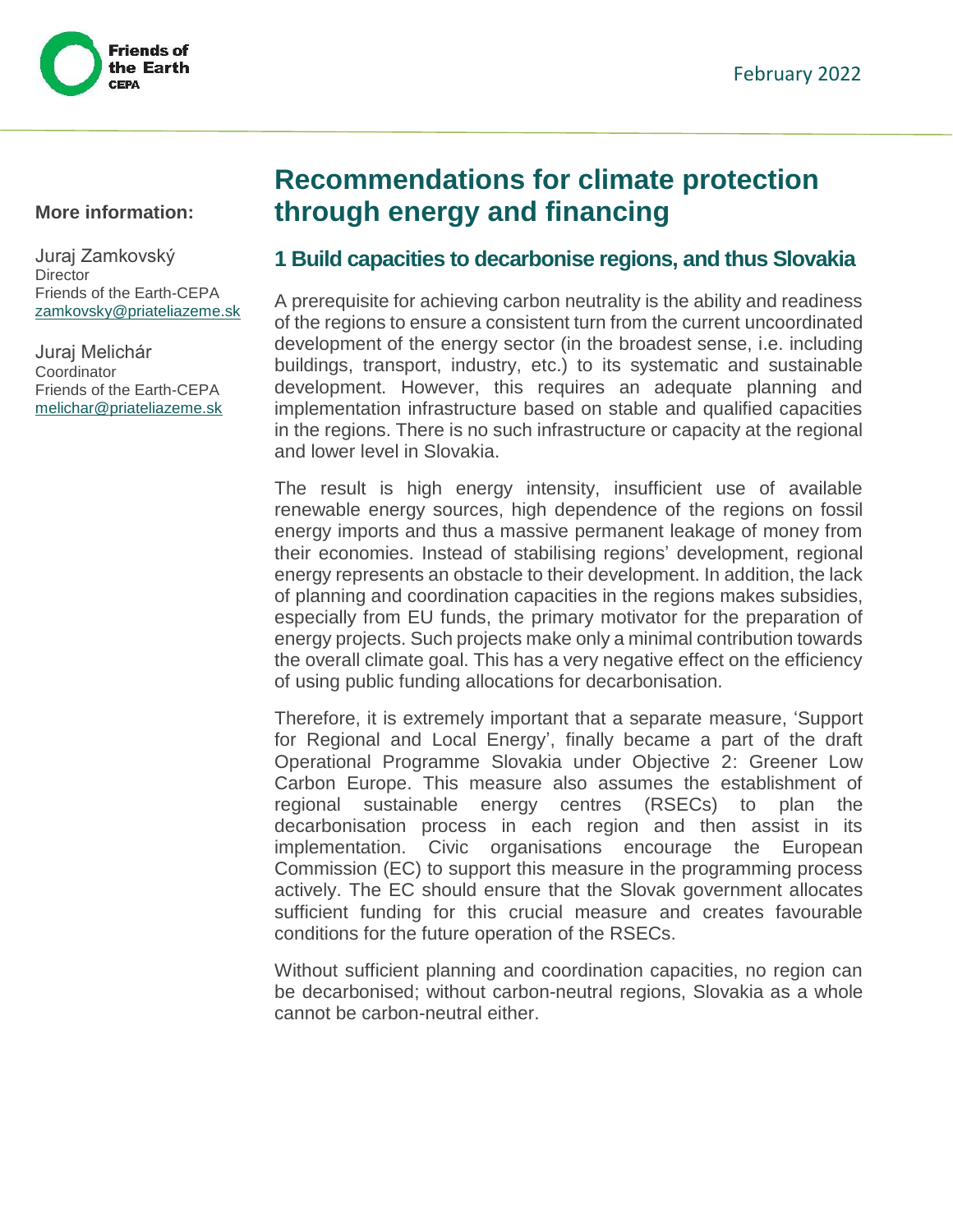

#### **More information:**

Juraj Zamkovský **Director** Friends of the Earth-CEPA [zamkovsky@priateliazeme.sk](mailto:zamkovsky@priateliazeme.sk)

Juraj Melichár **Coordinator** Friends of the Earth-CEPA [melichar@priateliazeme.sk](mailto:melichar@priateliazeme.sk)

# **Recommendations for climate protection through energy and financing**

## **1 Build capacities to decarbonise regions, and thus Slovakia**

A prerequisite for achieving carbon neutrality is the ability and readiness of the regions to ensure a consistent turn from the current uncoordinated development of the energy sector (in the broadest sense, i.e. including buildings, transport, industry, etc.) to its systematic and sustainable development. However, this requires an adequate planning and implementation infrastructure based on stable and qualified capacities in the regions. There is no such infrastructure or capacity at the regional and lower level in Slovakia.

The result is high energy intensity, insufficient use of available renewable energy sources, high dependence of the regions on fossil energy imports and thus a massive permanent leakage of money from their economies. Instead of stabilising regions' development, regional energy represents an obstacle to their development. In addition, the lack of planning and coordination capacities in the regions makes subsidies, especially from EU funds, the primary motivator for the preparation of energy projects. Such projects make only a minimal contribution towards the overall climate goal. This has a very negative effect on the efficiency of using public funding allocations for decarbonisation.

Therefore, it is extremely important that a separate measure, 'Support for Regional and Local Energy', finally became a part of the draft Operational Programme Slovakia under Objective 2: Greener Low Carbon Europe. This measure also assumes the establishment of regional sustainable energy centres (RSECs) to plan the decarbonisation process in each region and then assist in its implementation. Civic organisations encourage the European Commission (EC) to support this measure in the programming process actively. The EC should ensure that the Slovak government allocates sufficient funding for this crucial measure and creates favourable conditions for the future operation of the RSECs.

Without sufficient planning and coordination capacities, no region can be decarbonised; without carbon-neutral regions, Slovakia as a whole cannot be carbon-neutral either.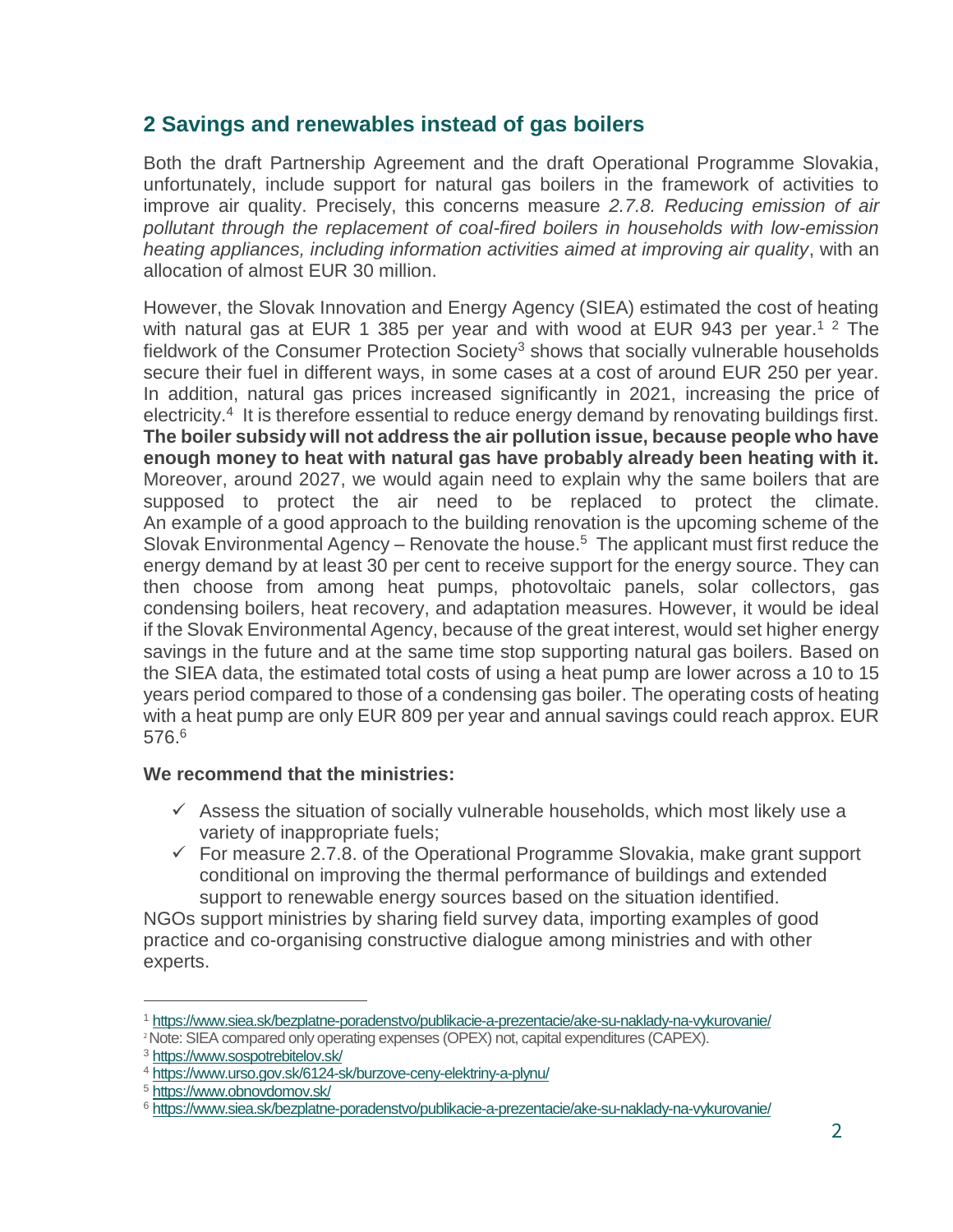## **2 Savings and renewables instead of gas boilers**

Both the draft Partnership Agreement and the draft Operational Programme Slovakia, unfortunately, include support for natural gas boilers in the framework of activities to improve air quality. Precisely, this concerns measure *2.7.8. Reducing emission of air pollutant through the replacement of coal-fired boilers in households with low-emission heating appliances, including information activities aimed at improving air quality*, with an allocation of almost EUR 30 million.

However, the Slovak Innovation and Energy Agency (SIEA) estimated the cost of heating with natural gas at EUR 1 385 per year and with wood at EUR 943 per year.<sup>1 2</sup> The fieldwork of the Consumer Protection Society<sup>3</sup> shows that socially vulnerable households secure their fuel in different ways, in some cases at a cost of around EUR 250 per year. In addition, natural gas prices increased significantly in 2021, increasing the price of electricity.<sup>4</sup> It is therefore essential to reduce energy demand by renovating buildings first. **The boiler subsidy will not address the air pollution issue, because people who have enough money to heat with natural gas have probably already been heating with it.** Moreover, around 2027, we would again need to explain why the same boilers that are supposed to protect the air need to be replaced to protect the climate. An example of a good approach to the building renovation is the upcoming scheme of the Slovak Environmental Agency – Renovate the house.<sup>5</sup> The applicant must first reduce the energy demand by at least 30 per cent to receive support for the energy source. They can then choose from among heat pumps, photovoltaic panels, solar collectors, gas condensing boilers, heat recovery, and adaptation measures. However, it would be ideal if the Slovak Environmental Agency, because of the great interest, would set higher energy savings in the future and at the same time stop supporting natural gas boilers. Based on the SIEA data, the estimated total costs of using a heat pump are lower across a 10 to 15 years period compared to those of a condensing gas boiler. The operating costs of heating with a heat pump are only EUR 809 per year and annual savings could reach approx. EUR 576. 6

## **We recommend that the ministries:**

- $\checkmark$  Assess the situation of socially vulnerable households, which most likely use a variety of inappropriate fuels;
- $\checkmark$  For measure 2.7.8. of the Operational Programme Slovakia, make grant support conditional on improving the thermal performance of buildings and extended support to renewable energy sources based on the situation identified.

NGOs support ministries by sharing field survey data, importing examples of good practice and co-organising constructive dialogue among ministries and with other experts.

 $\overline{a}$ 

<sup>1</sup> <https://www.siea.sk/bezplatne-poradenstvo/publikacie-a-prezentacie/ake-su-naklady-na-vykurovanie/>

<sup>&</sup>lt;sup>2</sup> Note: SIEA compared only operating expenses (OPEX) not, capital expenditures (CAPEX).

<sup>3</sup> <https://www.sospotrebitelov.sk/>

<sup>4</sup> <https://www.urso.gov.sk/6124-sk/burzove-ceny-elektriny-a-plynu/>

<sup>5</sup> <https://www.obnovdomov.sk/>

<sup>6</sup> <https://www.siea.sk/bezplatne-poradenstvo/publikacie-a-prezentacie/ake-su-naklady-na-vykurovanie/>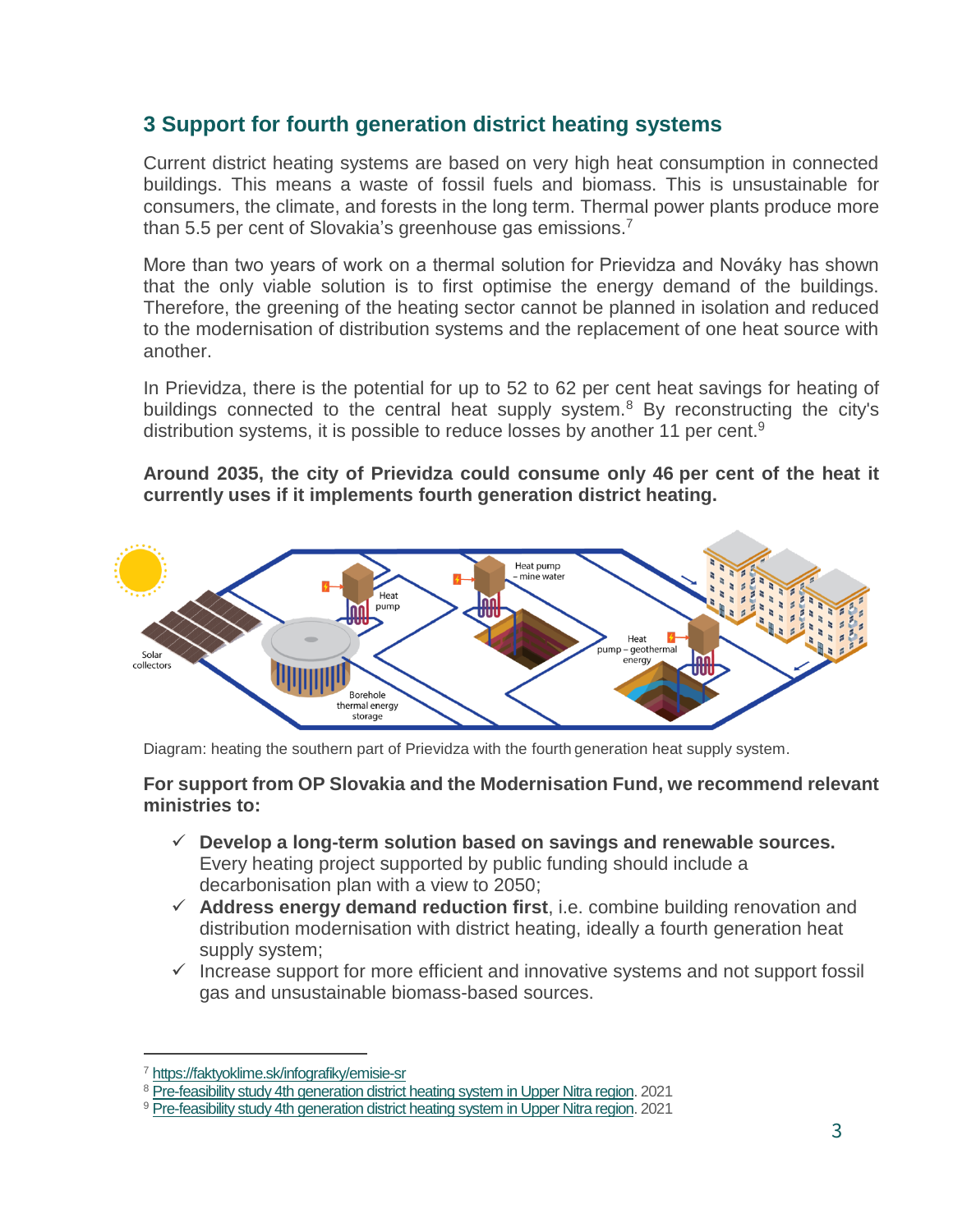## **3 Support for fourth generation district heating systems**

Current district heating systems are based on very high heat consumption in connected buildings. This means a waste of fossil fuels and biomass. This is unsustainable for consumers, the climate, and forests in the long term. Thermal power plants produce more than 5.5 per cent of Slovakia's greenhouse gas emissions.<sup>7</sup>

More than two years of work on a thermal solution for Prievidza and Nováky has shown that the only viable solution is to first optimise the energy demand of the buildings. Therefore, the greening of the heating sector cannot be planned in isolation and reduced to the modernisation of distribution systems and the replacement of one heat source with another.

In Prievidza, there is the potential for up to 52 to 62 per cent heat savings for heating of buildings connected to the central heat supply system.<sup>8</sup> By reconstructing the city's distribution systems, it is possible to reduce losses by another 11 per cent.<sup>9</sup>

**Around 2035, the city of Prievidza could consume only 46 per cent of the heat it currently uses if it implements fourth generation district heating.**



Diagram: heating the southern part of Prievidza with the fourth generation heat supply system.

#### **For support from OP Slovakia and the Modernisation Fund, we recommend relevant ministries to:**

- **Develop a long-term solution based on savings and renewable sources.**  Every heating project supported by public funding should include a decarbonisation plan with a view to 2050;
- **Address energy demand reduction first**, i.e. combine building renovation and distribution modernisation with district heating, ideally a fourth generation heat supply system;
- $\checkmark$  Increase support for more efficient and innovative systems and not support fossil gas and unsustainable biomass-based sources.

 $\overline{a}$ 

<sup>7</sup> <https://faktyoklime.sk/infografiky/emisie-sr>

<sup>8</sup> [Pre-feasibility study 4th generation district heating system in Upper Nitra region.](https://drive.google.com/file/d/1hjrhZQ9hlhHosRnK3L7047nVfFCZfocS/view) 2021

<sup>9</sup> Pre-feasibility study 4th generation [district heating system in Upper Nitra region.](https://drive.google.com/file/d/1hjrhZQ9hlhHosRnK3L7047nVfFCZfocS/view) 2021